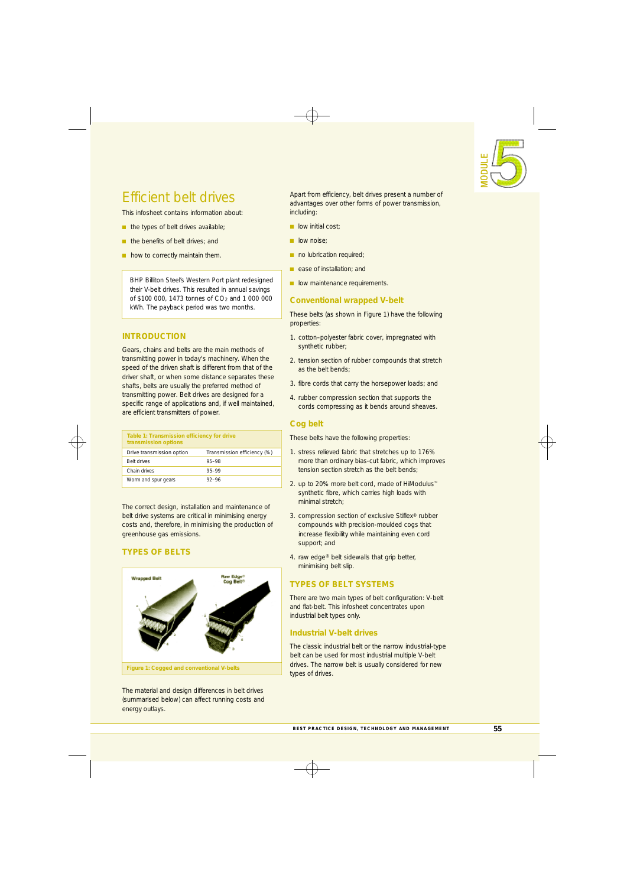

# Efficient belt drives

This infosheet contains information about:

- $\blacksquare$  the types of belt drives available;
- the benefits of belt drives; and
- how to correctly maintain them.

BHP Billiton Steel's Western Port plant redesigned their V-belt drives. This resulted in annual savings of \$100 000, 1473 tonnes of CO<sub>2</sub> and 1 000 000 kWh. The payback period was two months.

## **INTRODUCTION**

Gears, chains and belts are the main methods of transmitting power in today's machinery. When the speed of the driven shaft is different from that of the driver shaft, or when some distance separates these shafts, belts are usually the preferred method of transmitting power. Belt drives are designed for a specific range of applications and, if well maintained, are efficient transmitters of power.

| Table 1: Transmission efficiency for drive<br>transmission options |                             |  |
|--------------------------------------------------------------------|-----------------------------|--|
| Drive transmission option                                          | Transmission efficiency (%) |  |
| Belt drives                                                        | 95-98                       |  |
| Chain drives                                                       | 95-99                       |  |
| Worm and spur gears                                                | $92 - 96$                   |  |

The correct design, installation and maintenance of belt drive systems are critical in minimising energy costs and, therefore, in minimising the production of greenhouse gas emissions.

# **TYPES OF BELTS**



The material and design differences in belt drives (summarised below) can affect running costs and energy outlays.

Apart from efficiency, belt drives present a number of advantages over other forms of power transmission, including:

- $\blacksquare$  low initial cost;
- n low noise:
- $\blacksquare$  no lubrication required;
- **n** ease of installation; and
- **n** low maintenance requirements.

## **Conventional wrapped V-belt**

These belts (as shown in Figure 1) have the following properties:

- 1. cotton–polyester fabric cover, impregnated with synthetic rubber;
- 2. tension section of rubber compounds that stretch as the belt bends;
- 3. fibre cords that carry the horsepower loads; and
- 4. rubber compression section that supports the cords compressing as it bends around sheaves.

# **Cog belt**

These belts have the following properties:

- 1. stress relieved fabric that stretches up to 176% more than ordinary bias-cut fabric, which improves tension section stretch as the belt bends;
- 2. up to 20% more belt cord, made of HiModulus™ synthetic fibre, which carries high loads with minimal stretch;
- 3. compression section of exclusive Stiflex® rubber compounds with precision-moulded cogs that increase flexibility while maintaining even cord support; and
- 4. raw edge® belt sidewalls that grip better, minimising belt slip.

# **TYPES OF BELT SYSTEMS**

There are two main types of belt configuration: V-belt and flat-belt. This infosheet concentrates upon industrial belt types only.

# **Industrial V-belt drives**

The classic industrial belt or the narrow industrial-type belt can be used for most industrial multiple V-belt drives. The narrow belt is usually considered for new types of drives.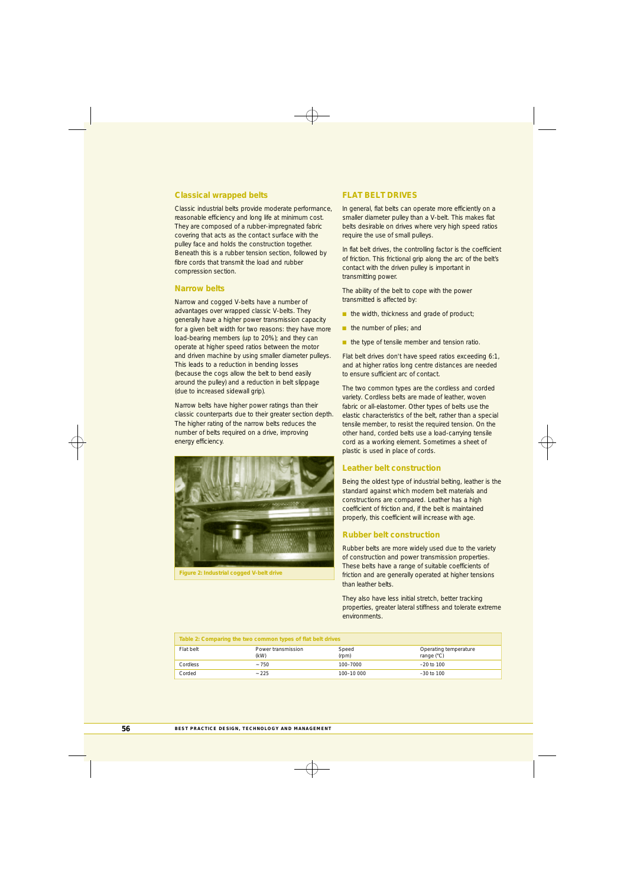#### **Classical wrapped belts**

Classic industrial belts provide moderate performance, reasonable efficiency and long life at minimum cost. They are composed of a rubber-impregnated fabric covering that acts as the contact surface with the pulley face and holds the construction together. Beneath this is a rubber tension section, followed by fibre cords that transmit the load and rubber compression section.

#### **Narrow belts**

Narrow and cogged V-belts have a number of advantages over wrapped classic V-belts. They generally have a higher power transmission capacity for a given belt width for two reasons: they have more load-bearing members (up to 20%); and they can operate at higher speed ratios between the motor and driven machine by using smaller diameter pulleys. This leads to a reduction in bending losses (because the cogs allow the belt to bend easily around the pulley) and a reduction in belt slippage (due to increased sidewall grip).

Narrow belts have higher power ratings than their classic counterparts due to their greater section depth. The higher rating of the narrow belts reduces the number of belts required on a drive, improving energy efficiency.



**FLAT BELT DRIVES**

In general, flat belts can operate more efficiently on a smaller diameter pulley than a V-belt. This makes flat belts desirable on drives where very high speed ratios require the use of small pulleys.

In flat belt drives, the controlling factor is the coefficient of friction. This frictional grip along the arc of the belt's contact with the driven pulley is important in transmitting power.

The ability of the belt to cope with the power transmitted is affected by:

- $\blacksquare$  the width, thickness and grade of product;
- n the number of plies; and
- $\blacksquare$  the type of tensile member and tension ratio.

Flat belt drives don't have speed ratios exceeding 6:1, and at higher ratios long centre distances are needed to ensure sufficient arc of contact.

The two common types are the cordless and corded variety. Cordless belts are made of leather, woven fabric or all-elastomer. Other types of belts use the elastic characteristics of the belt, rather than a special tensile member, to resist the required tension. On the other hand, corded belts use a load-carrying tensile cord as a working element. Sometimes a sheet of plastic is used in place of cords.

### **Leather belt construction**

Being the oldest type of industrial belting, leather is the standard against which modern belt materials and constructions are compared. Leather has a high coefficient of friction and, if the belt is maintained properly, this coefficient will increase with age.

#### **Rubber belt construction**

Rubber belts are more widely used due to the variety of construction and power transmission properties. These belts have a range of suitable coefficients of friction and are generally operated at higher tensions than leather belts.

They also have less initial stretch, better tracking properties, greater lateral stiffness and tolerate extreme environments.

| Table 2: Comparing the two common types of flat belt drives |                            |                |                                            |  |
|-------------------------------------------------------------|----------------------------|----------------|--------------------------------------------|--|
| Flat belt                                                   | Power transmission<br>(kW) | Speed<br>(rpm) | <b>Operating temperature</b><br>range (°C) |  |
| Cordless                                                    | $-750$                     | 100-7000       | $-20$ to 100                               |  |
| Corded                                                      | ~1225                      | 100-10 000     | $-30$ to 100                               |  |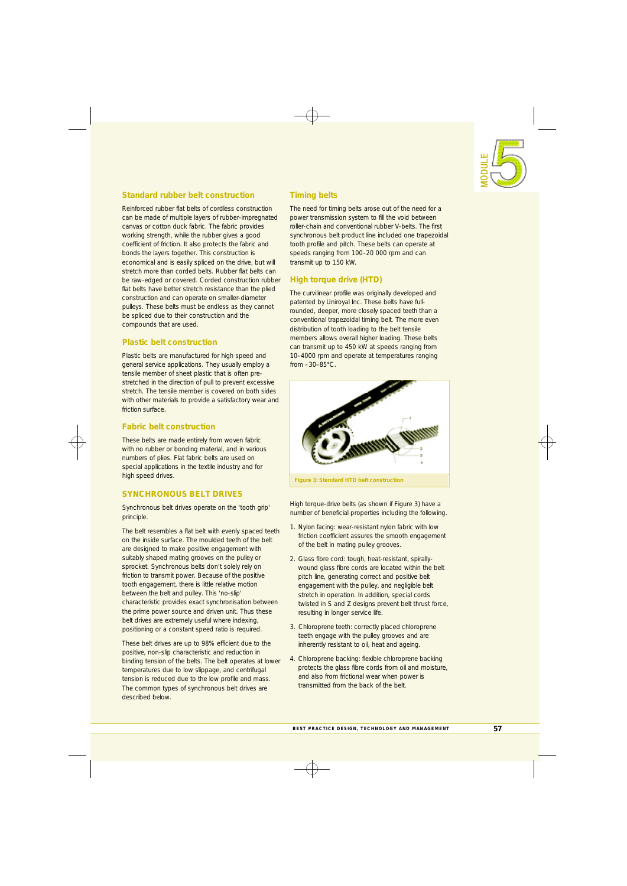

# **Standard rubber belt construction**

Reinforced rubber flat belts of cordless construction can be made of multiple layers of rubber-impregnated canvas or cotton duck fabric. The fabric provides working strength, while the rubber gives a good coefficient of friction. It also protects the fabric and bonds the layers together. This construction is economical and is easily spliced on the drive, but will stretch more than corded belts. Rubber flat belts can be raw-edged or covered. Corded construction rubber flat belts have better stretch resistance than the plied construction and can operate on smaller-diameter pulleys. These belts must be endless as they cannot be spliced due to their construction and the compounds that are used.

### **Plastic belt construction**

Plastic belts are manufactured for high speed and general service applications. They usually employ a tensile member of sheet plastic that is often prestretched in the direction of pull to prevent excessive stretch. The tensile member is covered on both sides with other materials to provide a satisfactory wear and friction surface.

### **Fabric belt construction**

These belts are made entirely from woven fabric with no rubber or bonding material, and in various numbers of plies. Flat fabric belts are used on special applications in the textile industry and for high speed drives.

## **SYNCHRONOUS BELT DRIVES**

Synchronous belt drives operate on the 'tooth grip' principle.

The belt resembles a flat belt with evenly spaced teeth on the inside surface. The moulded teeth of the belt are designed to make positive engagement with suitably shaped mating grooves on the pulley or sprocket. Synchronous belts don't solely rely on friction to transmit power. Because of the positive tooth engagement, there is little relative motion between the belt and pulley. This 'no-slip' characteristic provides exact synchronisation between the prime power source and driven unit. Thus these belt drives are extremely useful where indexing, positioning or a constant speed ratio is required.

These belt drives are up to 98% efficient due to the positive, non-slip characteristic and reduction in binding tension of the belts. The belt operates at lower temperatures due to low slippage, and centrifugal tension is reduced due to the low profile and mass. The common types of synchronous belt drives are described below.

# **Timing belts**

The need for timing belts arose out of the need for a power transmission system to fill the void between roller-chain and conventional rubber V-belts. The first synchronous belt product line included one trapezoidal tooth profile and pitch. These belts can operate at speeds ranging from 100–20 000 rpm and can transmit up to 150 kW.

## **High torque drive (HTD)**

The curvilinear profile was originally developed and patented by Uniroyal Inc. These belts have fullrounded, deeper, more closely spaced teeth than a conventional trapezoidal timing belt. The more even distribution of tooth loading to the belt tensile members allows overall higher loading. These belts can transmit up to 450 kW at speeds ranging from 10–4000 rpm and operate at temperatures ranging from –30–85°C.



High torque-drive belts (as shown if Figure 3) have a number of beneficial properties including the following.

- 1. Nylon facing: wear-resistant nylon fabric with low friction coefficient assures the smooth engagement of the belt in mating pulley grooves.
- 2. Glass fibre cord: tough, heat-resistant, spirallywound glass fibre cords are located within the belt pitch line, generating correct and positive belt engagement with the pulley, and negligible belt stretch in operation. In addition, special cords twisted in S and Z designs prevent belt thrust force, resulting in longer service life.
- 3. Chloroprene teeth: correctly placed chloroprene teeth engage with the pulley grooves and are inherently resistant to oil, heat and ageing.
- 4. Chloroprene backing: flexible chloroprene backing protects the glass fibre cords from oil and moisture, and also from frictional wear when power is transmitted from the back of the belt.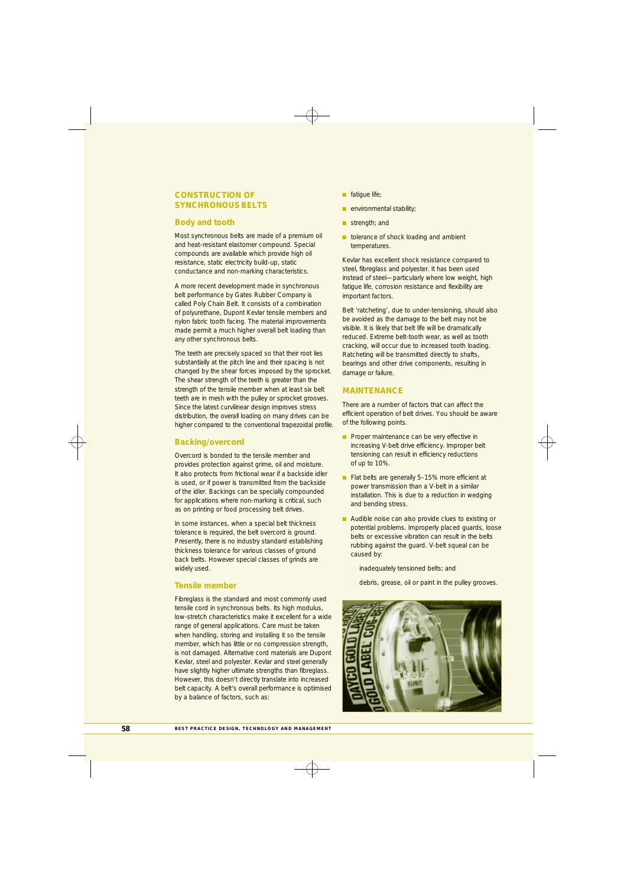## **CONSTRUCTION OF SYNCHRONOUS BELTS**

#### **Body and tooth**

Most synchronous belts are made of a premium oil and heat-resistant elastomer compound. Special compounds are available which provide high oil resistance, static electricity build-up, static conductance and non-marking characteristics.

A more recent development made in synchronous belt performance by Gates Rubber Company is called Poly Chain Belt. It consists of a combination of polyurethane, Dupont Kevlar tensile members and nylon fabric tooth facing. The material improvements made permit a much higher overall belt loading than any other synchronous belts.

The teeth are precisely spaced so that their root lies substantially at the pitch line and their spacing is not changed by the shear forces imposed by the sprocket. The shear strength of the teeth is greater than the strength of the tensile member when at least six belt teeth are in mesh with the pulley or sprocket grooves. Since the latest curvilinear design improves stress distribution, the overall loading on many drives can be higher compared to the conventional trapezoidal profile.

#### **Backing/overcord**

Overcord is bonded to the tensile member and provides protection against grime, oil and moisture. It also protects from frictional wear if a backside idler is used, or if power is transmitted from the backside of the idler. Backings can be specially compounded for applications where non-marking is critical, such as on printing or food processing belt drives.

In some instances, when a special belt thickness tolerance is required, the belt overcord is ground. Presently, there is no industry standard establishing thickness tolerance for various classes of ground back belts. However special classes of grinds are widely used.

#### **Tensile member**

Fibreglass is the standard and most commonly used tensile cord in synchronous belts. Its high modulus, low-stretch characteristics make it excellent for a wide range of general applications. Care must be taken when handling, storing and installing it so the tensile member, which has little or no compression strength, is not damaged. Alternative cord materials are Dupont Kevlar, steel and polyester. Kevlar and steel generally have slightly higher ultimate strengths than fibreglass. However, this doesn't directly translate into increased belt capacity. A belt's overall performance is optimised by a balance of factors, such as:

- $\blacksquare$  fatigue life;
- $\blacksquare$  environmental stability;
- strength; and
- n tolerance of shock loading and ambient temperatures.

Kevlar has excellent shock resistance compared to steel, fibreglass and polyester. It has been used instead of steel—particularly where low weight, high fatigue life, corrosion resistance and flexibility are important factors.

Belt 'ratcheting', due to under-tensioning, should also be avoided as the damage to the belt may not be visible. It is likely that belt life will be dramatically reduced. Extreme belt-tooth wear, as well as tooth cracking, will occur due to increased tooth loading. Ratcheting will be transmitted directly to shafts, bearings and other drive components, resulting in damage or failure.

#### **MAINTENANCE**

There are a number of factors that can affect the efficient operation of belt drives. You should be aware of the following points.

- **n** Proper maintenance can be very effective in increasing V-belt drive efficiency. Improper belt tensioning can result in efficiency reductions of up to 10%.
- Flat belts are generally 5-15% more efficient at power transmission than a V-belt in a similar installation. This is due to a reduction in wedging and bending stress.
- Audible noise can also provide clues to existing or potential problems. Improperly placed guards, loose belts or excessive vibration can result in the belts rubbing against the guard. V-belt squeal can be caused by:
	- $\Box$  inadequately tensioned belts; and
	- $\Box$  debris, grease, oil or paint in the pulley grooves.